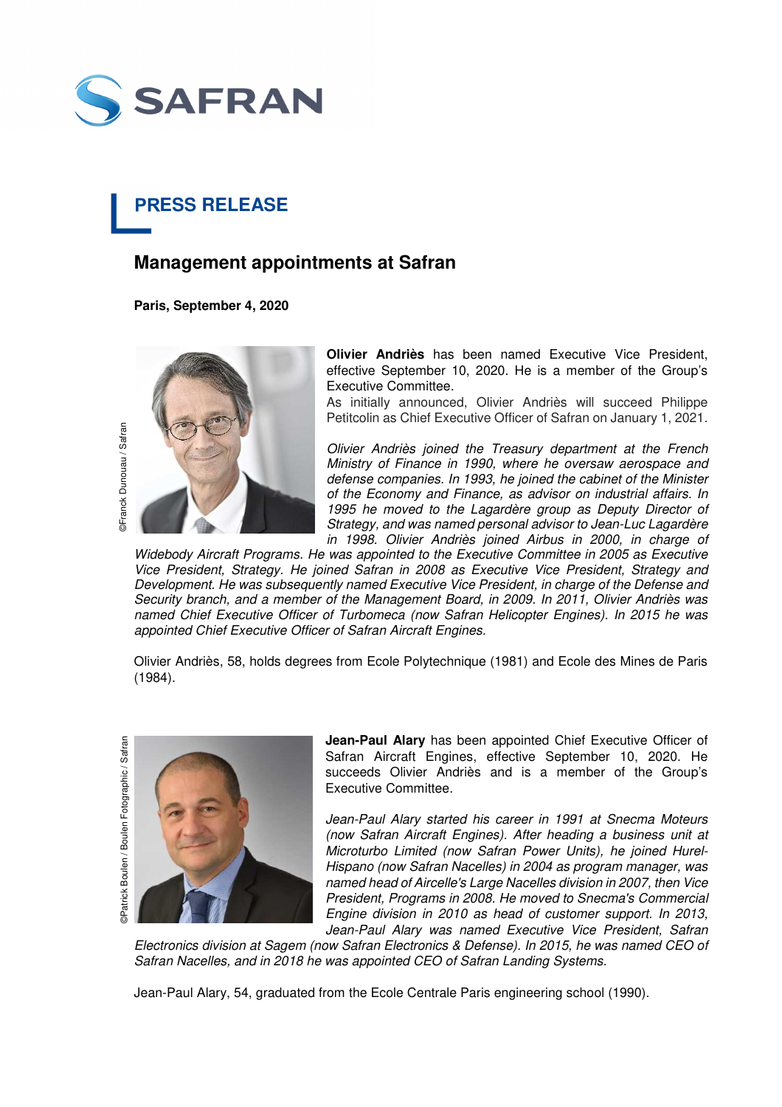

## **PRESS RELEASE**

## **Management appointments at Safran**

**Paris, September 4, 2020** 



**Olivier Andriès** has been named Executive Vice President, effective September 10, 2020. He is a member of the Group's Executive Committee.

As initially announced, Olivier Andriès will succeed Philippe Petitcolin as Chief Executive Officer of Safran on January 1, 2021.

Olivier Andriès joined the Treasury department at the French Ministry of Finance in 1990, where he oversaw aerospace and defense companies. In 1993, he joined the cabinet of the Minister of the Economy and Finance, as advisor on industrial affairs. In 1995 he moved to the Lagardère group as Deputy Director of Strategy, and was named personal advisor to Jean-Luc Lagardère in 1998. Olivier Andriès joined Airbus in 2000, in charge of

Widebody Aircraft Programs. He was appointed to the Executive Committee in 2005 as Executive Vice President, Strategy. He joined Safran in 2008 as Executive Vice President, Strategy and Development. He was subsequently named Executive Vice President, in charge of the Defense and Security branch, and a member of the Management Board, in 2009. In 2011, Olivier Andriès was named Chief Executive Officer of Turbomeca (now Safran Helicopter Engines). In 2015 he was appointed Chief Executive Officer of Safran Aircraft Engines.

Olivier Andriès, 58, holds degrees from Ecole Polytechnique (1981) and Ecole des Mines de Paris (1984).

©Patrick Boulen / Boulen Fotographic / Safran ©Patran ©Franck Dunouau / Safran DPatrick Boulen / Boulen Fotographic / Safran



**Jean-Paul Alary** has been appointed Chief Executive Officer of Safran Aircraft Engines, effective September 10, 2020. He succeeds Olivier Andriès and is a member of the Group's Executive Committee.

Jean-Paul Alary started his career in 1991 at Snecma Moteurs (now Safran Aircraft Engines). After heading a business unit at Microturbo Limited (now Safran Power Units), he joined Hurel-Hispano (now Safran Nacelles) in 2004 as program manager, was named head of Aircelle's Large Nacelles division in 2007, then Vice President, Programs in 2008. He moved to Snecma's Commercial Engine division in 2010 as head of customer support. In 2013, Jean-Paul Alary was named Executive Vice President, Safran

Electronics division at Sagem (now Safran Electronics & Defense). In 2015, he was named CEO of Safran Nacelles, and in 2018 he was appointed CEO of Safran Landing Systems.

Jean-Paul Alary, 54, graduated from the Ecole Centrale Paris engineering school (1990).